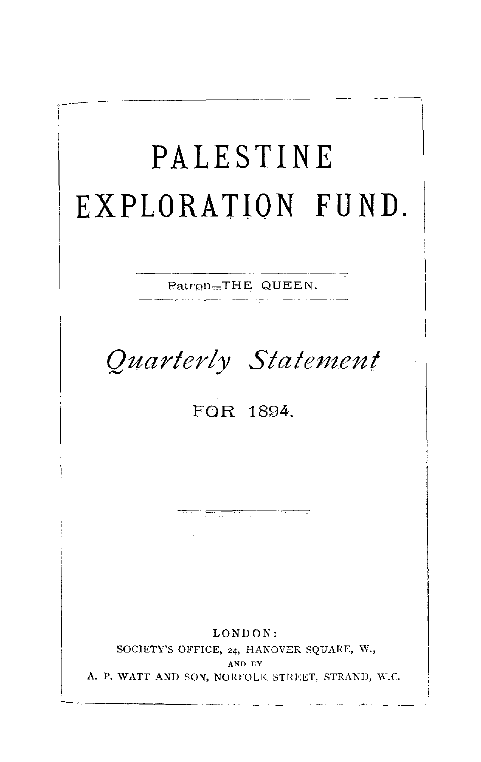# **PALESTINE EXPLORATION FUND.**

Patron-THE QUEEN.

*Quarterly Statem.ent* 

FOR 1894.

LONDON: SOCIETY'S OFFICE, 24, HANOVER SQUARE, W., AND EY A. P. WATT AND SON, NORFOLK STREET, STRAND, W.C.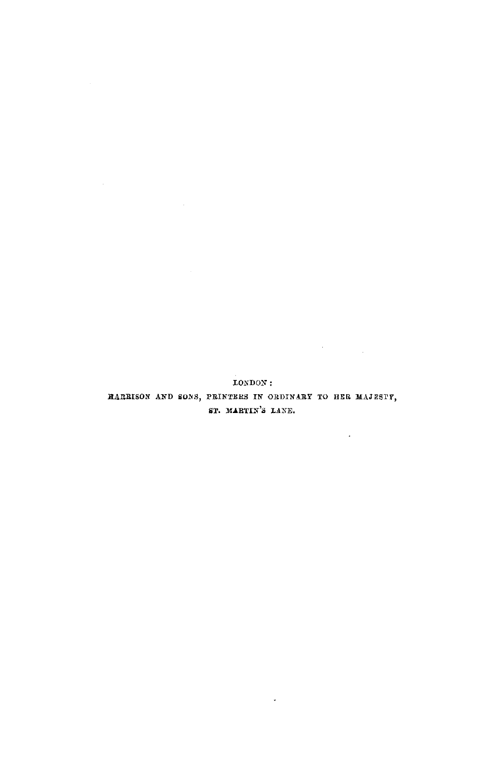LONDON: RARRISON AND SONS, PRINTERS IN ORDINARY TO HER MAJESTY, ST. MARTIN'S LANE.

 $\sim 10^{-11}$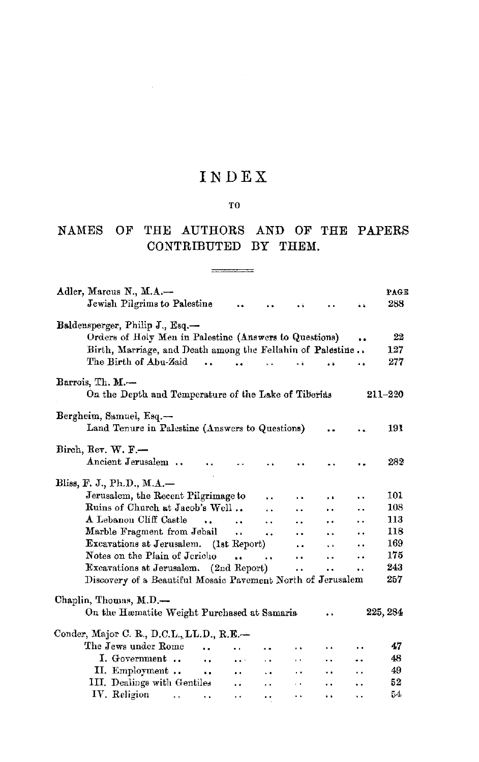### INDEX

#### TO

#### NAMES OF THE AUTHORS AND OF THE PAPERS CONTRIBUTED BY THEM.

| Adler, Marcus N., M.A.-<br>Jewish Pilgrims to Palestine                                   |                             |                      |                      |                      | è à                  | PAGE<br>288 |
|-------------------------------------------------------------------------------------------|-----------------------------|----------------------|----------------------|----------------------|----------------------|-------------|
|                                                                                           |                             |                      |                      |                      |                      |             |
| Baldensperger, Philip J., Esq.-<br>Orders of Holy Men in Palestine (Answers to Questions) |                             |                      |                      |                      |                      | 22          |
| Birth, Marriage, and Death among the Fellahin of Palestine                                |                             |                      |                      |                      |                      | 127         |
| The Birth of Abu-Zaid                                                                     |                             |                      | $\ddot{\phantom{a}}$ | à k                  |                      | 277         |
|                                                                                           |                             |                      |                      |                      | ه ه                  |             |
| Barrois, Th. M.-                                                                          |                             |                      |                      |                      |                      |             |
| On the Depth and Temperature of the Lake of Tiberias                                      |                             |                      |                      |                      |                      | $211 - 220$ |
|                                                                                           |                             |                      |                      |                      |                      |             |
| Bergheim, Samuel, Esq.-                                                                   |                             |                      |                      |                      |                      | 191         |
| Land Tenure in Palestine (Answers to Questions)                                           |                             |                      |                      | $\cdot$ $\cdot$      |                      |             |
| Birch, Rev. W. F.-                                                                        |                             |                      |                      |                      |                      |             |
| Ancient Jerusalem                                                                         |                             |                      |                      |                      |                      | 282         |
|                                                                                           |                             |                      |                      |                      |                      |             |
| Bliss, F. J., Ph.D., M.A.-                                                                |                             |                      |                      |                      |                      |             |
| Jerusalem, the Recent Pilgrimage to                                                       |                             |                      | a a                  | . .                  |                      | 101         |
| Ruins of Church at Jacob's Well                                                           |                             | $\ddot{\phantom{0}}$ | . .                  | $\cdot$ .            | . .                  | 108         |
| A Lebanon Cliff Castle<br>$\sim$ $\sim$                                                   | $\ddot{\phantom{a}}$        | . .                  | ٠.                   |                      |                      | 113         |
| Marble Fragment from Jebail                                                               | $\ddot{\phantom{a}}$        | ٠.                   | $\ddot{\phantom{a}}$ | $\ddot{\phantom{a}}$ | $\ddot{\phantom{a}}$ | 118         |
| <b>Excavations at Jerusalem.</b> (1st Report)                                             |                             |                      | $\ddot{\phantom{0}}$ | $\ddot{\phantom{a}}$ |                      | 169         |
| Notes on the Plain of Jericho                                                             | $\ddot{\phantom{a}}$        | $\ddot{\phantom{a}}$ | $\ddot{\phantom{1}}$ | $\ddot{\phantom{0}}$ |                      | 175         |
| Excavations at Jerusalem. (2nd Report)                                                    |                             |                      | $\ddot{\phantom{a}}$ | . .                  | $\ddot{\phantom{a}}$ | 243         |
| Discovery of a Beautiful Mosaic Pavement North of Jerusalem                               |                             |                      |                      |                      |                      | 257         |
| Chaplin, Thomas, M.D.-                                                                    |                             |                      |                      |                      |                      |             |
| On the Hæmatite Weight Purchased at Samaria                                               |                             |                      |                      |                      |                      | 225, 284    |
|                                                                                           |                             |                      |                      |                      |                      |             |
| Conder, Major C. R., D.C.L., LL.D., R.E.-                                                 |                             |                      |                      |                      |                      |             |
| The Jews under Rome<br>$\ddot{\phantom{a}}$                                               | a a                         | ٠.                   | . .                  | $\ddot{\phantom{1}}$ |                      | 47          |
| I. Government<br><b>Contract Contract</b>                                                 | $\mathbf{r}$ , $\mathbf{r}$ | $\ddot{\phantom{1}}$ | i, k                 | $\ddot{\phantom{1}}$ | $\ddotsc$            | 48          |
| II. Employment<br>$\cdots$                                                                | . .                         | $\ddot{\phantom{0}}$ | $\ddot{\phantom{0}}$ | $\ddot{\phantom{0}}$ | ÷.                   | 49          |
| III. Dealings with Gentiles                                                               |                             | $\ddot{\phantom{0}}$ | i,                   | . .                  | ٠.                   | 52          |
| IV. Religion<br><b>Allen Control</b><br>$\bullet$ $\bullet$                               | $\ddot{\phantom{1}}$        |                      | . .                  | $\ddot{\phantom{1}}$ | ٠.                   | 54          |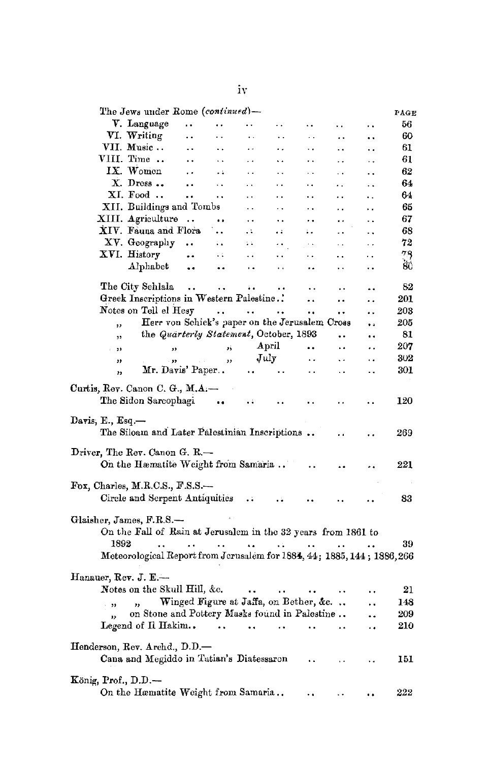| The Jews under Rome (continued)-                                                                                                                                                                     |                                              |                        |                      |                      |                      |                      | PAGE |
|------------------------------------------------------------------------------------------------------------------------------------------------------------------------------------------------------|----------------------------------------------|------------------------|----------------------|----------------------|----------------------|----------------------|------|
| V. Language                                                                                                                                                                                          | <br>. .                                      | Ϋ.                     | ٠.                   | $\ddot{\phantom{a}}$ | . .                  | $\ddot{\phantom{1}}$ | 56   |
| VI. Writing                                                                                                                                                                                          | $\ddot{\phantom{a}}$<br>. .                  | $\ddotsc$              | . .                  | $\ddotsc$            | . .                  | ٠.                   | 60   |
| VII. Music                                                                                                                                                                                           | $\ddotsc$<br>٠.                              | ٠.                     | ٠.                   | ٠.                   | ٠.                   | . .                  | 61   |
| VIII. Time                                                                                                                                                                                           | $\ddot{\phantom{0}}$<br>. .                  | . .                    | ٠.                   | . .                  | . .                  | . .                  | 61   |
| IX. Women                                                                                                                                                                                            | $\ddot{\phantom{0}}$<br>. .                  | . .                    | . .                  | . .                  | . .                  |                      | 62   |
| $X.$ Dress $\ldots$                                                                                                                                                                                  | $\ddot{\phantom{a}}$<br>$\ddot{\phantom{a}}$ | $\ddot{\phantom{a}}$   | . .                  | . .                  | . .                  |                      | 64   |
| XI. Food                                                                                                                                                                                             | $\ddot{\phantom{a}}$<br>$\ddot{\phantom{a}}$ | $\ddot{\phantom{0}}$   | $\ddot{\phantom{0}}$ | $\ddot{\phantom{a}}$ | . .                  | i.                   | 64   |
| XII. Buildings and Tombs                                                                                                                                                                             |                                              | $\ddot{\phantom{0}}$   | $\ddot{\phantom{a}}$ | . .                  | . .                  | . .                  | 65   |
| XIII. Agriculture                                                                                                                                                                                    |                                              | $\ddot{\phantom{0}}$   | . .                  | . .                  | . .                  |                      | 67   |
| XIV. Fauna and Flora                                                                                                                                                                                 | $\ddot{\phantom{a}}$                         | 44                     | a d                  | ÷.                   | $\ddot{\phantom{a}}$ | ٠.                   | 68   |
| XV. Geography                                                                                                                                                                                        |                                              |                        |                      |                      |                      | . .                  | 72   |
|                                                                                                                                                                                                      | $\ddot{\phantom{a}}$<br>÷.                   | Σâ                     | $\ddot{\phantom{0}}$ | $\sim$ $\sim$        | $\ddot{\phantom{a}}$ | . .                  | 78   |
| XVI. History                                                                                                                                                                                         | н.<br>$\ddot{\phantom{1}}$                   | $\ddot{\phantom{1}}$   | . .                  | . .                  | . .                  | . .                  |      |
| ${\bf Alphabet}$                                                                                                                                                                                     | $\bullet\bullet$<br>٠.                       | $\ddot{\phantom{1}}$   | $\ddot{\phantom{0}}$ | ٠.                   | . .                  | ٠.                   | ŠÚ   |
| The City Sehlala                                                                                                                                                                                     | $\sim$ $\sim$<br>$\ddot{\phantom{a}}$        | $\ddot{\phantom{1}}$   |                      | τ.                   | $\ddot{\phantom{0}}$ | a s                  | 82   |
| Greek Inscriptions in Western Palestine                                                                                                                                                              |                                              |                        |                      | $\ddot{\phantom{0}}$ |                      | . .                  | 201  |
| Notes on Tell el Hesy                                                                                                                                                                                | $\ddot{\phantom{0}}$                         | $\ddot{\phantom{a}}$   | $\ddot{\phantom{0}}$ | $\ddot{\phantom{0}}$ |                      |                      | 203  |
| Herr von Schick's paper on the Jerusalem Cross<br>,,                                                                                                                                                 |                                              |                        |                      |                      |                      | $\ddot{\phantom{0}}$ | 205  |
| the Quarterly Statement, October, 1893<br>,                                                                                                                                                          |                                              |                        |                      |                      |                      | ٠.                   | 81   |
| 33<br>$-22$                                                                                                                                                                                          | 5ý                                           |                        | April                | $\ddot{\phantom{a}}$ | $\ddot{\phantom{0}}$ | . .                  | 207  |
|                                                                                                                                                                                                      |                                              |                        | July                 | $\ddot{\phantom{0}}$ | ä.                   | . .                  | 302  |
| $-33$<br>,,<br>Mr. Davis' Paper                                                                                                                                                                      | 33                                           | $\ddotsc$              | $\sim$               | $\ddot{\phantom{0}}$ | $\ddot{\phantom{0}}$ | ٠.                   | 301  |
| ,,                                                                                                                                                                                                   |                                              |                        |                      |                      |                      |                      |      |
| Curtis, Rev. Canon C. G., M.A.-<br>The Sidon Sarcophagi<br>Davis, E., Esq.—                                                                                                                          |                                              | ٠÷                     |                      |                      |                      |                      | 120  |
| The Siloam and Later Palestinian Inscriptions                                                                                                                                                        |                                              |                        |                      |                      |                      |                      | 269  |
| Driver, The Rev. Canon G. R.—<br>On the Hæmatite Weight from Samaria                                                                                                                                 |                                              |                        |                      |                      |                      |                      | 221  |
| $\rm{Fox,~Charles,~M.R. C.S.,~F.S.S.}$                                                                                                                                                               |                                              |                        |                      |                      |                      |                      |      |
| Circle and Serpent Antiquities                                                                                                                                                                       |                                              | $\ddotsc$              |                      |                      |                      |                      | 83   |
| Glaisher, James, F.R.S.-<br>On the Fall of Rain at Jerusalem in the 32 years from 1861 to<br>1892<br>$\ddot{\phantom{a}}$<br>Meteorological Report from Jerusalem for 1884, 44; 1885, 144; 1886, 266 | $\sim 100$ km s $^{-1}$<br>$\sim 10$         | $\sim$                 | $\sim 1$             | $\ddot{\phantom{a}}$ | .,                   |                      | 39   |
|                                                                                                                                                                                                      |                                              |                        |                      |                      |                      |                      |      |
| Hanauer, Rev. J. E.—<br>Notes on the Skull Hill, &c.                                                                                                                                                 |                                              | $\ddot{\phantom{a}}$ . | $\ddot{\phantom{1}}$ |                      |                      | . .                  | 21   |
| ,,<br>$-15$                                                                                                                                                                                          | Winged Figure at Jaffa, on Bether, &c        |                        |                      |                      |                      | . .                  | 148  |
| on Stone and Pottery Masks found in Palestine<br>"                                                                                                                                                   |                                              |                        |                      |                      |                      |                      | 209  |
| Legend of Il Hakim                                                                                                                                                                                   | $\ddot{\phantom{a}}$                         | $\ddot{\phantom{0}}$   | $\ddot{\phantom{a}}$ |                      |                      | ٠.                   | 210  |
|                                                                                                                                                                                                      |                                              |                        |                      |                      |                      |                      |      |
| Henderson, Rev. Archd., D.D.—<br>Cana and Megiddo in Tatian's Diatessaron                                                                                                                            |                                              |                        |                      | ٠.                   |                      |                      | 151  |
| König, Prof., $D.D.$ —<br>On the Hæmatite Weight from Samaria                                                                                                                                        |                                              |                        |                      |                      |                      |                      | 222  |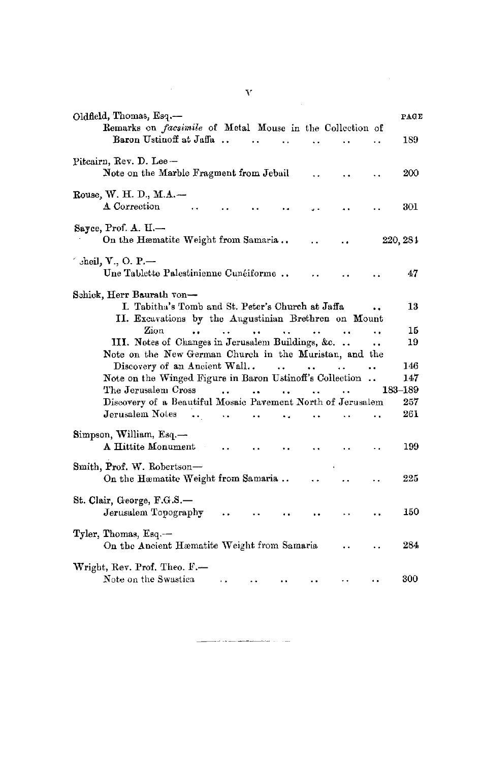| v                                                                                                                                                         |                |
|-----------------------------------------------------------------------------------------------------------------------------------------------------------|----------------|
| Oldfield, Thomas, Esq.-<br>Remarks on <i>facsimile</i> of Metal Mouse in the Collection of                                                                | PAGE           |
| Baron Ustinoff at Jaffa                                                                                                                                   | 189            |
| Pitcairn, Rev. D. Lee --<br>Note on the Marble Fragment from Jebail                                                                                       | 200            |
| Rouse, W. H. D., M.A.-<br>A Correction                                                                                                                    | 301            |
| Sayce, Prof. A. H.-<br>On the Hæmatite Weight from Samaria                                                                                                | 220, 284       |
| ′ sheil, V., O. P.—<br>Une Tablette Palestinienne Cunéiforme                                                                                              | 47             |
| Schick, Herr Baurath von-<br>I. Tabitha's Tomb and St. Peter's Church at Jaffa<br>II. Excavations by the Augustinian Brethren on Mount                    | 13             |
| Zion<br>$\ddot{\phantom{0}}$<br>ΰ.<br>$\sim$<br>$\ddot{\phantom{a}}$                                                                                      | 15             |
| III. Notes of Changes in Jerusalem Buildings, &c.<br>٠.                                                                                                   | 19             |
| Note on the New German Church in the Muristan, and the                                                                                                    |                |
| Discovery of an Ancient Wall<br>$\sim 100$<br>$\sim$ $\sim$                                                                                               | 146            |
| Note on the Winged Figure in Baron Ustinoff's Collection<br>The Jerusalem Cross<br><b><i>Contractor</i></b><br>and the state of the state of the state of | 147<br>183-189 |
| Discovery of a Beautiful Mosaic Pavement North of Jerusalem                                                                                               | 257            |
| Jerusalem Notes<br>$\ddot{\phantom{a}}$<br>$\ddot{\phantom{0}}$                                                                                           | 261            |
| Simpson, William, Esq.—<br>A Hittite Monument<br>$\cdots$                                                                                                 | 199            |
| Smith, Prof. W. Robertson-<br>On the Hæmatite Weight from Samaria                                                                                         | 225            |
| St. Clair, George, F.G.S.-<br>Jerusalem Topography                                                                                                        | 150            |
| Tyler, Thomas, Esq.--<br>On the Ancient Hæmatite Weight from Samaria                                                                                      | 284            |
| Wright, Rev. Prof. Theo. F.-<br>Note on the Swastica                                                                                                      | 300            |

 $\frac{1}{2} \left( \frac{1}{2} \sum_{i=1}^{n} \frac{1}{2} \sum_{j=1}^{n} \frac{1}{2} \sum_{j=1}^{n} \frac{1}{2} \sum_{j=1}^{n} \frac{1}{2} \sum_{j=1}^{n} \frac{1}{2} \sum_{j=1}^{n} \frac{1}{2} \sum_{j=1}^{n} \frac{1}{2} \sum_{j=1}^{n} \frac{1}{2} \sum_{j=1}^{n} \frac{1}{2} \sum_{j=1}^{n} \frac{1}{2} \sum_{j=1}^{n} \frac{1}{2} \sum_{j=1}^{n} \frac{1}{2$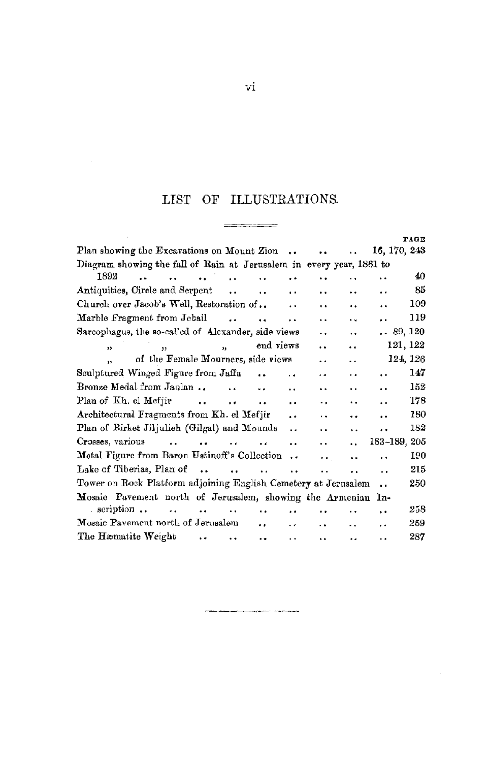## LIST OF ILLUSTRATIONS.  $\frac{1}{\sqrt{2}}\frac{1}{\sqrt{2}}\frac{1}{\sqrt{2}}\frac{1}{\sqrt{2}}\frac{1}{\sqrt{2}}\frac{1}{\sqrt{2}}\frac{1}{\sqrt{2}}\frac{1}{\sqrt{2}}\frac{1}{\sqrt{2}}\frac{1}{\sqrt{2}}\frac{1}{\sqrt{2}}\frac{1}{\sqrt{2}}\frac{1}{\sqrt{2}}\frac{1}{\sqrt{2}}\frac{1}{\sqrt{2}}\frac{1}{\sqrt{2}}\frac{1}{\sqrt{2}}\frac{1}{\sqrt{2}}\frac{1}{\sqrt{2}}\frac{1}{\sqrt{2}}\frac{1}{\sqrt{2}}\frac{1}{\sqrt{2}}$

|                                                                      |                      |                         |                      |                      |                      |                      |                      | PAGE    |
|----------------------------------------------------------------------|----------------------|-------------------------|----------------------|----------------------|----------------------|----------------------|----------------------|---------|
| Plan showing the Excavations on Mount Zion                           |                      |                         |                      |                      |                      |                      | 16, 170, 243         |         |
| Diagram showing the fall of Rain at Jerusalem in every year, 1861 to |                      |                         |                      |                      |                      |                      |                      |         |
| 1892<br>$\ddot{\phantom{a}}$                                         | $\ddot{\phantom{a}}$ | $\ddot{\phantom{a}}$    |                      |                      |                      |                      | . .                  | 40      |
| Antiquities, Circle and Serpent                                      |                      | $\ddot{\phantom{a}}$    | $\ddot{\phantom{0}}$ | $\ddot{\phantom{1}}$ | . .                  | $\ddot{\phantom{a}}$ | $\ddot{\phantom{0}}$ | 85      |
| Church over Jacob's Well, Restoration of                             |                      |                         |                      | . .                  | . .                  | $\ddot{\phantom{0}}$ |                      | 109     |
| Marble Fragment from Jebail                                          |                      | $\ddot{\phantom{a}}$    | $\ddot{\phantom{a}}$ | $\ddot{\phantom{a}}$ | $\ddot{\phantom{0}}$ | $\ddot{\phantom{a}}$ | $\ddot{\phantom{0}}$ | 119     |
| Sarcophagus, the so-called of Alexander, side views                  |                      |                         |                      |                      |                      | $\ddot{\phantom{0}}$ |                      | 89, 120 |
| $\overline{\mathbf{r}}$<br>$\overline{\mathbf{5}}$                   |                      | $\overline{\mathbf{u}}$ |                      | end views            | $\ddot{\phantom{a}}$ | $\ddot{\phantom{a}}$ | 121, 122             |         |
| of the Female Mourners, side views                                   |                      |                         |                      |                      | $\ddot{\phantom{a}}$ | $\ddot{\phantom{0}}$ | 124, 126             |         |
| Sculptured Winged Figure from Jaffa                                  |                      |                         |                      | $\ddot{\phantom{0}}$ | $\ddot{\phantom{1}}$ | $\ddot{\phantom{a}}$ | $\ddot{\phantom{a}}$ | 147     |
| Bronze Medal from Jaulan                                             |                      | $\ddot{\phantom{a}}$    |                      | . .                  | . .                  | . .                  | $\ddot{\phantom{a}}$ | 152     |
| Plan of Kh. el Mefjir                                                | $\sim$               | $\ddot{\phantom{a}}$    |                      | . .                  | ٠.                   |                      | $\ddot{\phantom{a}}$ | 178     |
| Architectural Fragments from Kh. el Mefjir                           |                      |                         |                      | $\ddot{\phantom{0}}$ | ٠.                   |                      | $\ddot{\phantom{0}}$ | 180     |
| Plan of Birket Jiljulieh (Gilgal) and Mounds                         |                      |                         |                      | . .                  | $\ddot{\phantom{1}}$ | $\ddot{\phantom{0}}$ | $\ddot{\phantom{1}}$ | 182     |
| Crosses, various<br>$\ddot{\phantom{a}}$                             | $\mathbf{r}$         | $\ddot{\phantom{a}}$    | $\bullet$            | $\ddot{\phantom{a}}$ | ٠.                   | $\ddot{\phantom{a}}$ | 183-189, 205         |         |
| Metal Figure from Baron Ustinoff's Collection                        |                      |                         |                      | $\ddot{\phantom{0}}$ | $\ddot{\phantom{0}}$ | ٠.                   | $\ddot{\phantom{0}}$ | 190     |
| Lake of Tiberias, Plan of                                            |                      | $\ddot{\phantom{a}}$    | $\ddot{\phantom{a}}$ | $\ddot{\phantom{a}}$ | . .                  | . .                  |                      | 215     |
| Tower on Rock Platform adjoining English Cemetery at Jerusalem       |                      |                         |                      |                      |                      |                      | $\ddot{\phantom{a}}$ | 250     |
| Mosaic Pavement north of Jerusalem, showing the Armenian             |                      |                         |                      |                      |                      |                      | In-                  |         |
| scription<br>а.                                                      | $\ddot{\phantom{a}}$ |                         | $\ddot{\phantom{a}}$ |                      |                      |                      | $\cdot$ .            | 258     |
| Mosaic Pavement north of Jerusalem                                   |                      |                         | . .                  | $\ddot{\phantom{0}}$ | . .                  | $\ddot{\phantom{a}}$ | $\ddot{\phantom{1}}$ | 259     |
| The Hæmatite Weight                                                  | $\ddot{\phantom{0}}$ | $\ddot{\phantom{0}}$    | $\ddot{\phantom{0}}$ |                      | ٠.                   | ٠.                   | . .                  | 287     |

 $\label{eq:3.1} \frac{\partial \mathcal{L}_{\mathcal{A}}(\mathcal{L}_{\mathcal{A}}(\mathcal{L}_{\mathcal{A}}(\mathcal{L}_{\mathcal{A}}(\mathcal{L}_{\mathcal{A}}(\mathcal{L}_{\mathcal{A}}(\mathcal{L}_{\mathcal{A}}(\mathcal{L}_{\mathcal{A}}(\mathcal{L}_{\mathcal{A}}(\mathcal{L}_{\mathcal{A}}(\mathcal{L}_{\mathcal{A}}(\mathcal{L}_{\mathcal{A}}(\mathcal{L}_{\mathcal{A}}(\mathcal{L}_{\mathcal{A}}(\mathcal{L}_{\mathcal{A}}(\mathcal{L}_{\mathcal{A}}(\mathcal{L}_{\mathcal{A}}(\mathcal$ 

vi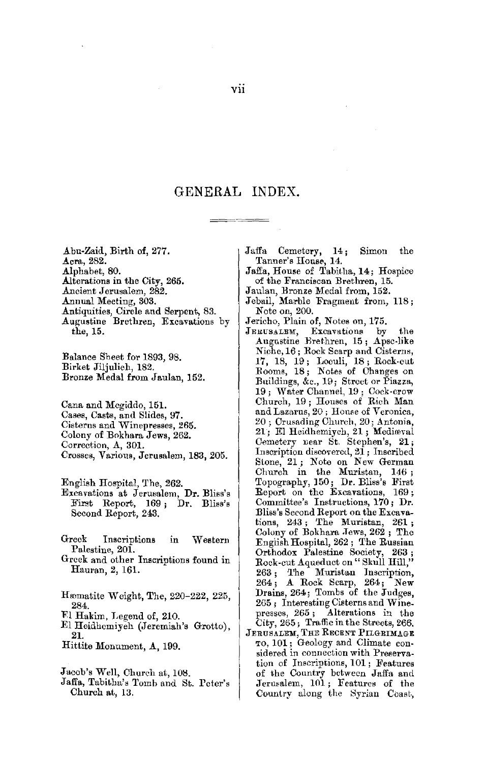#### GENERAL INDEX.

.A.bu-Zaid, Birth of, 277. Acra, 282. Alphabet, 80. Alterations in the City, 265. Ancient Jerusalem, 282. Annual Meeting, 303. Antiquities, Circle and Serpent, 83. Augustine Brethren, Excavations by the, 15.

Balance Sbeet for 1893, 98. Birket Jiljulieh, 182. Bronze Medal from Jaulan, 152.

Cana and Mcgiddo, 151. Cases, Casts, and Slides, 97. Cisterns and Winepresses, 265. Colony of Bokhara Jews, 262. Correction, A, 301. Crosses, Various, Jerusalem, 183, 205.

English Hospital, The, 262.

- Excavations at Jerusalem, Dr. Bliss's First Report, 169; Dr. Bliss's Second Report, 243.
- Greek Inscriptions in Western Palestine, 201.
- Greek and other Inscriptions found in Hauran, 2, 161.
- Hæmatite Weight, The, 220–222, 225, 284.
- Fl Hakim, Legend of, 210.
- El Heidhcmiyeh (Jeremiah'• Grotto), **21.**
- Hittite Monument, A, 199.

Jacob's Well, Church at, 108.

Jaffa, Tabitha's Tomb and St. Pcter's Church at, 13.

- Jaffa Cemetery, 14; Simon the Tanner's House, 14.
- Jaffa, House of Tabitha, **14;** Hospice of the Franciscan Brethren, 15.
- 
- Jaulan, Bronze Medal from, 152. Jebuil, Marble Fragment from, US; Note on, 200.
- 
- Jericho, Plain of, Notes on, 175.<br>JERUSALEM, Excavations by Excavations by the Augustine Brethren, 15; Apse-like Niche, 16; Rock Scarp and Cisterns, 17, 18, 19; Loculi, 18; Rock-cut Rooms, 18; Notes of Changes on Buildings, &c., 19; Street or Piazza, 19; Water Channel, 19; Cock-crow Church, 19 ; Houses of Rich Man and Lazarus, 20 ; Honse of Veronica, 20; Crusading Church, 20; Antonia, 21; El Heidhemiych, 21; Mediæval Cemetery near St. Stephen's, 21; Inscription discovered, 21; Inscribed Stone, 21; Note on New German Church in the Muristan, 146; Topography, 150; Dr. Bliss's First Report on the Excavations, 169 ; Committee's Instructions, 170; Dr. Bliss's Second Report on the Excavations, 243; The Muristan, 261; Colony of Bokhara Jews, 262; The Engiish Hospital, 262 ; The Russian Orthodox Palestine Society, 263;<br>Rock-cut Aqueduct on "Skull Hill,"<br>263; The Muristan Inscription, 264 ; A Rock Scarp, 264; New Drains, 264; Tombs of the Judges, 265 ; Interesting Cisterns and Winepresses, 265 ; Alterations in the City, 265; Traffic in the Streets, 266.
- JERUSALEM, THE RECENT PILGRIMAGE TO, 101 ; Geology and Climate considered in connection with Preservation of Inscriptions, 101; Features of the Country between Jaffa and Jerusalem, 101; Features of the Country along the Syrian Coast,